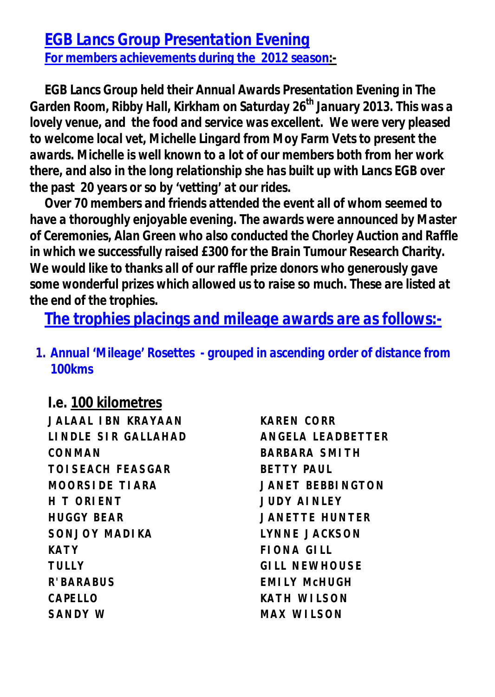*EGB Lancs Group Presentation Evening For members achievements during the 2012 season:-*

*EGB Lancs Group held their Annual Awards Presentation Evening in The Garden Room, Ribby Hall, Kirkham on Saturday 26th January 2013. This was a lovely venue, and the food and service was excellent. We were very pleased to welcome local vet, Michelle Lingard from Moy Farm Vets to present the awards. Michelle is well known to a lot of our members both from her work there, and also in the long relationship she has built up with Lancs EGB over the past 20 years or so by 'vetting' at our rides.*

*Over 70 members and friends attended the event all of whom seemed to have a thoroughly enjoyable evening. The awards were announced by Master of Ceremonies, Alan Green who also conducted the Chorley Auction and Raffle in which we successfully raised £300 for the Brain Tumour Research Charity. We would like to thanks all of our raffle prize donors who generously gave some wonderful prizes which allowed us to raise so much. These are listed at the end of the trophies.*

*The trophies placings and mileage awards are as follows:-*

*1. Annual 'Mileage' Rosettes - grouped in ascending order of distance from 100kms*

*I.e. 100 kilometres* **JALAAL IBN KRAYAAN KAREN CORR LINDLE SIR GALLAHAD ANGELA LEADBETTER CONMAN BARBARA SMITH TOISEACH FEASGAR BETTY PAUL MOORSIDE TIARA JANET BEBBINGTON H T ORIENT JUDY AINLEY HUGGY BEAR JANETTE HUNTER SONJOY MADIKA LYNNE JACKSON KATY FIONA GILL TULLY GILL NEWHOUSE R'BARABUS EMILY McHUGH CAPELLO KATH WILSON SANDY W MAX WILSON**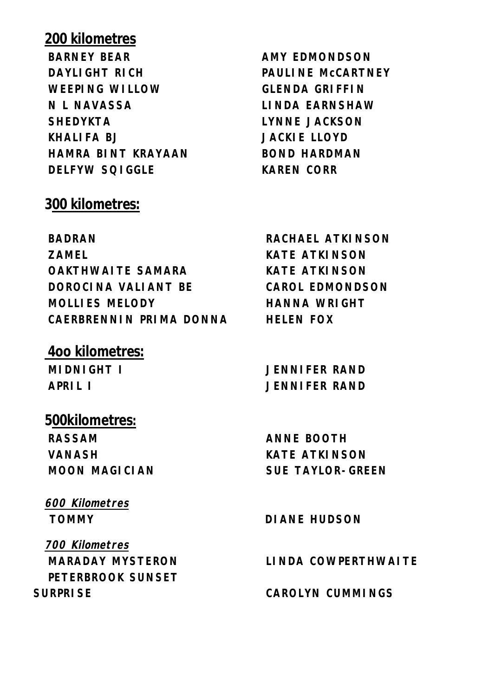## *200 kilometres*

**BARNEY BEAR AMY EDMONDSON DAYLIGHT RICH PAULINE McCARTNEY WEEPING WILLOW GLENDA GRIFFIN N L NAVASSA LINDA EARNSHAW SHEDYKTA LYNNE JACKSON KHALIFA BJ JACKIE LLOYD HAMRA BINT KRAYAAN BOND HARDMAN DELFYW SQIGGLE KAREN CORR**

### *300 kilometres:*

**BADRAN RACHAEL ATKINSON ZAMEL KATE ATKINSON OAKTHWAITE SAMARA KATE ATKINSON DOROCINA VALIANT BE CAROL EDMONDSON MOLLIES MELODY HANNA WRIGHT CAERBRENNIN PRIMA DONNA HELEN FOX**

### *4oo kilometres:*

#### *500kilometres:*

**RASSAM ANNE BOOTH VANASH KATE ATKINSON**

# *600 Kilometres*

*700 Kilometres* **PETERBROOK SUNSET SURPRISE CAROLYN CUMMINGS**

**MIDNIGHT I JENNIFER RAND APRIL I JENNIFER RAND**

**MOON MAGICIAN SUE TAYLOR-GREEN**

**TOMMY DIANE HUDSON**

**MARADAY MYSTERON LINDA COWPERTHWAITE**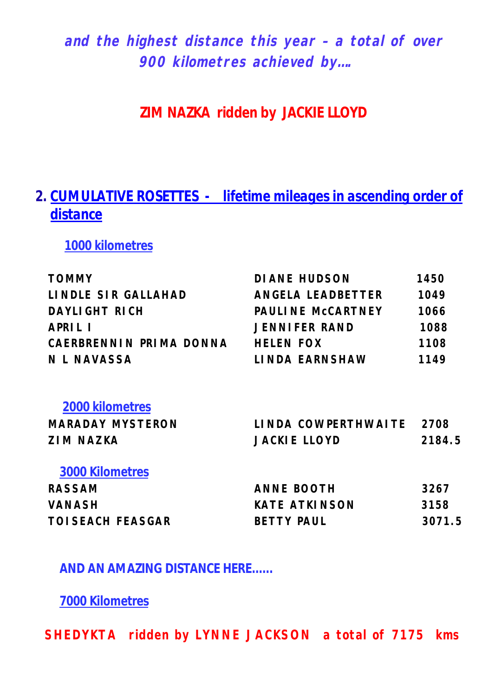*and the highest distance this year – a total of over 900 kilometres achieved by….*

**ZIM NAZKA ridden by JACKIE LLOYD**

## *2. CUMULATIVE ROSETTES - lifetime mileages in ascending order of distance*

*1000 kilometres*

| <b>TOMMY</b>             | DI ANE HUDSON            | 1450   |
|--------------------------|--------------------------|--------|
| LINDLE SIR GALLAHAD      | ANGELA LEADBETTER        | 1049   |
| DAYLIGHT RICH            | PAULINE MCCARTNEY        | 1066   |
| APRIL I                  | <b>JENNIFER RAND</b>     | 1088   |
| CAERBRENNIN PRIMA DONNA  | <b>HELEN FOX</b>         | 1108   |
| N L NAVASSA              | LINDA EARNSHAW           | 1149   |
| <b>2000 kilometres</b>   |                          |        |
| <b>MARADAY MYSTERON</b>  | LINDA COWPERTHWAITE 2708 |        |
| <b>ZIM NAZKA</b>         | <b>JACKIE LLOYD</b>      | 2184.5 |
| <b>3000 Kilometres</b>   |                          |        |
| <b>RASSAM</b>            | <b>ANNE BOOTH</b>        | 3267   |
| <b>VANASH</b>            | <b>KATE ATKINSON</b>     | 3158   |
| <b>TOI SEACH FEASGAR</b> | <b>BETTY PAUL</b>        | 3071.5 |
|                          |                          |        |

**AND AN AMAZING DISTANCE HERE......**

*7000 Kilometres*

**SHEDYKTA ridden by LYNNE JACKSON a total of 7175 kms**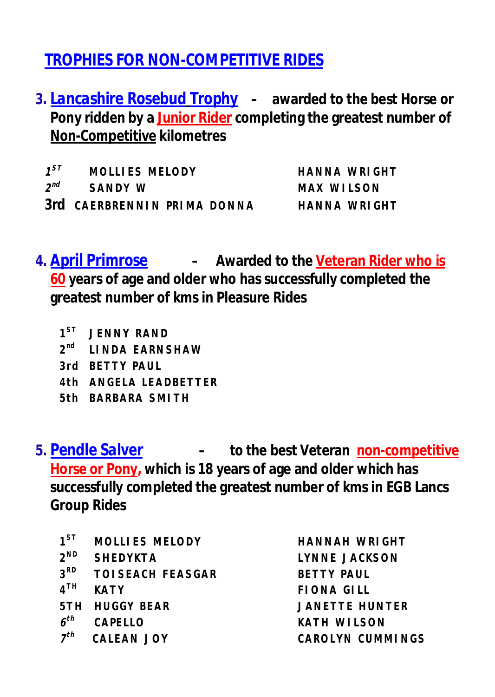# *TROPHIES FOR NON-COMPETITIVE RIDES*

*3. Lancashire Rosebud Trophy –* **awarded to the best Horse or Pony ridden by a Junior Rider completing the greatest number of Non-Competitive kilometres** 

 $1^{ST}$ **MOLLIES MELODY HANNA WRIGHT**  $2^{nd}$ **nd** SANDY W MAX WILSON *3rd* **CAERBRENNIN PRIMA DONNA HANNA WRIGHT**

*4. April Primrose –* **Awarded to the Veteran Rider who is 60 years of age and older who has successfully completed the greatest number of kms in Pleasure Rides**

- $1^{ST}$ **JENNY RAND**
- **2 nd LINDA EARNSHAW**
- **3rd BETTY PAUL**
- **4th ANGELA LEADBETTER**
- **5th BARBARA SMITH**

*5. Pendle Salver –* **to the best Veteran non-competitive Horse or Pony, which is 18 years of age and older which has successfully completed the greatest number of kms in EGB Lancs Group Rides**

- $1^{ST}$ **ST MOLLIES MELODY HANNAH WRIGHT**
- $2^{ND}$
- $3<sup>RD</sup>$ **TOI SEACH FEASGAR BETTY PAUL**
- $4^{\text{TH}}$
- **5TH HUGGY BEAR JANETTE HUNTER**
- *6*
- *7*

**ND SHEDYKTA LYNNE JACKSON TH KATY FIONA GILL** *th* **CAPELLO KATH WILSON** *th* **CALEAN JOY CAROLYN CUMMINGS**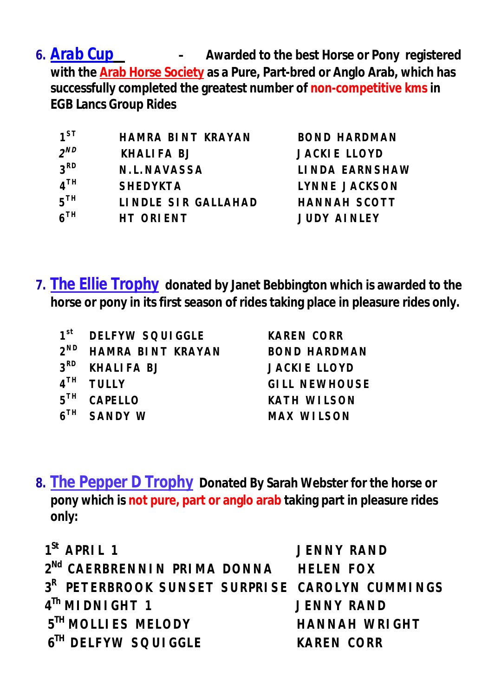*6. Arab Cup –* **Awarded to the best Horse or Pony registered with the Arab Horse Society as a Pure, Part-bred or Anglo Arab, which has successfully completed the greatest number of non-competitive kms in EGB Lancs Group Rides**

| $1^{ST}$        | HAMRA BINT KRAYAN   | <b>BOND HARDMAN</b>  |
|-----------------|---------------------|----------------------|
| $2^{ND}$        | KHALIFA BJ          | <b>JACKIE LLOYD</b>  |
| 3 <sup>RD</sup> | N.L.NAVASSA         | LINDA EARNSHAW       |
| 4 <sup>TH</sup> | <b>SHEDYKTA</b>     | <b>LYNNE JACKSON</b> |
| 5 <sup>TH</sup> | LINDLE SIR GALLAHAD | <b>HANNAH SCOTT</b>  |
| 6 <sup>TH</sup> | HT ORIENT           | <b>JUDY AINLEY</b>   |
|                 |                     |                      |

**7.** *The Ellie Trophy* **donated by Janet Bebbington which is awarded to the horse or pony in its first season of rides taking place in pleasure rides only.**

| 1 <sup>st</sup> | DELFYW SOUIGGLE            | <b>KAREN CORR</b>    |
|-----------------|----------------------------|----------------------|
| $2^{ND}$        | HAMRA BINT KRAYAN          | <b>BOND HARDMAN</b>  |
|                 | 3 <sup>RD</sup> KHALIFA BJ | <b>JACKIE LLOYD</b>  |
|                 | $4TH$ TULLY                | <b>GILL NEWHOUSE</b> |
|                 | 5TH CAPELLO                | <b>KATH WILSON</b>   |
|                 | $6TH$ SANDY W              | <b>MAX WILSON</b>    |

**8.** *The Pepper D Trophy* **Donated By Sarah Webster for the horse or pony which is not pure, part or anglo arab taking part in pleasure rides only:**

| $1^{\text{St}}$ APRII 1                                    | <b>JENNY RAND</b> |
|------------------------------------------------------------|-------------------|
| 2 <sup>Nd</sup> CAERBRENNIN PRIMA DONNA HELEN FOX          |                   |
| 3 <sup>R</sup> PETERBROOK SUNSET SURPRISE CAROLYN CUMMINGS |                   |
| $4^{\text{Th}}$ MI DNI GHT 1                               | <b>JENNY RAND</b> |
| 5 <sup>TH</sup> MOLLI ES MELODY                            | HANNAH WRIGHT     |
| 6 <sup>TH</sup> DELFYW SOUIGGLE                            | <b>KAREN CORR</b> |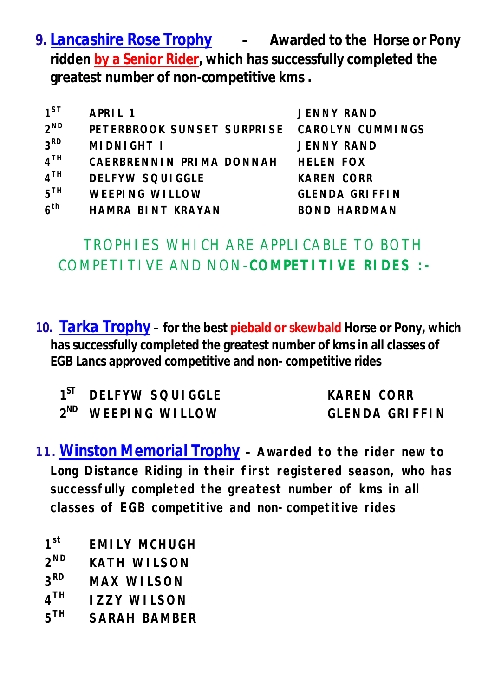*9. Lancashire Rose Trophy –* **Awarded to the Horse or Pony ridden by a Senior Rider, which has successfully completed the greatest number of non-competitive kms .**

| $1^{ST}$        | APRIL 1                                     | <b>JENNY RAND</b>     |
|-----------------|---------------------------------------------|-----------------------|
| $2^{ND}$        | PETERBROOK SUNSET SURPRISE CAROLYN CUMMINGS |                       |
| 3 <sup>RD</sup> | MIDNIGHT I                                  | <b>JENNY RAND</b>     |
| 4 <sup>TH</sup> | CAERBRENNIN PRIMA DONNAH                    | <b>HELEN FOX</b>      |
| 4 <sup>TH</sup> | <b>DELFYW SQUIGGLE</b>                      | <b>KAREN CORR</b>     |
| 5 <sup>TH</sup> | <b>WEEPING WILLOW</b>                       | <b>GLENDA GRIFFIN</b> |
| 6 <sup>th</sup> | HAMRA BINT KRAYAN                           | <b>BOND HARDMAN</b>   |

## TROPHIES WHICH ARE APPLICABLE TO BOTH COMPETITIVE AND NON-**COMPETITIVE RIDES :-**

10. *Tarka Trophy* – for the best piebald or skewbald Horse or Pony, which **has successfully completed the greatest number of kms in all classes of EGB Lancs approved competitive and non- competitive rides**

| 1 <sup>ST</sup> DELFYW SQUIGGLE |
|---------------------------------|
| 2 <sup>ND</sup> WEEPING WILLOW  |

**KAREN CORR ND WEEPING WILLOW GLENDA GRIFFIN**

- **11.***Winston Memorial Trophy* **– Awarded to the rider new to Long Distance Riding in their first registered season, who has successfully completed the greatest number of kms in all classes of EGB competitive and non-competitive rides**
	- $1<sup>st</sup>$ **st EMILY MCHUGH**
	- $2^{ND}$ **KATH WILSON**
	- **3 MAX WILSON**
	- **4 TZZY WILSON**
	- **5 TH SARAH BAMBER**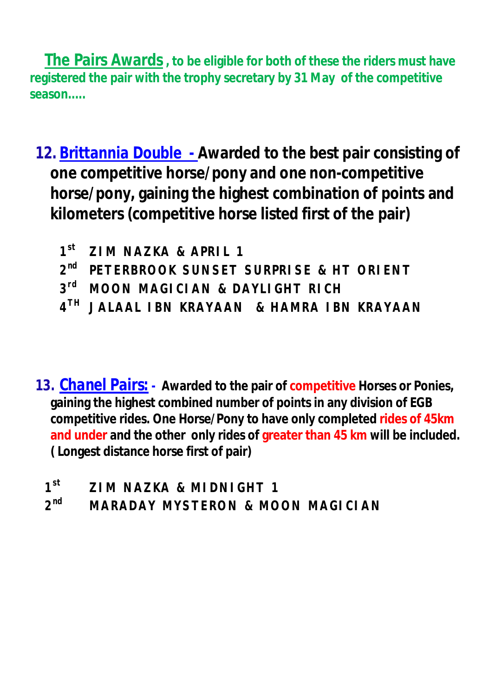**The Pairs Awards, to be eligible for both of these the riders must have registered the pair with the trophy secretary by 31 May of the competitive season.....**

*12. Brittannia Double -* **Awarded to the best pair consisting of one competitive horse/pony and one non-competitive horse/pony, gaining the highest combination of points and kilometers (competitive horse listed first of the pair)**

- **1 st ZIM NAZKA & APRIL 1**
- **2 nd PETERBROOK SUNSET SURPRISE & HT ORIENT**
- **3 rd MOON MAGICIAN & DAYLIGHT RICH**
- **4 TH JALAAL IBN KRAYAAN & HAMRA IBN KRAYAAN**

*13. Chanel Pairs: -* **Awarded to the pair of competitive Horses or Ponies, gaining the highest combined number of points in any division of EGB competitive rides. One Horse/Pony to have only completed rides of 45km and under and the other only rides of greater than 45 km will be included. ( Longest distance horse first of pair)**

 $1<sup>st</sup>$ **st ZIM NAZKA & MIDNIGHT 1**

 $2^{nd}$ **nd MARADAY MYSTERON & MOON MAGICIAN**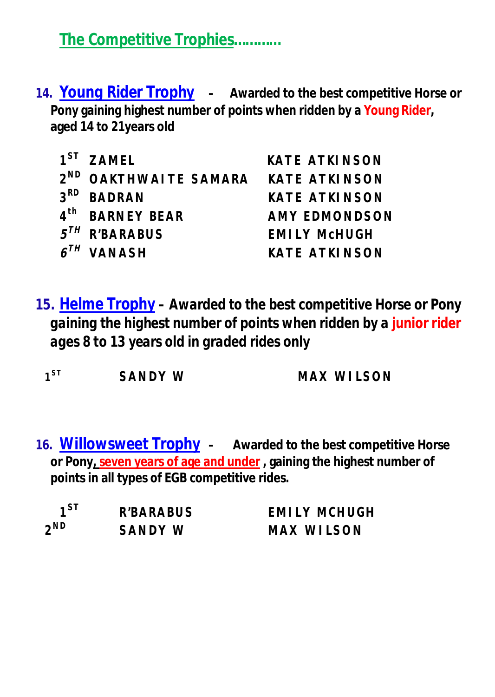*The Competitive Trophies…………*

*14. Young Rider Trophy –* **Awarded to the best competitive Horse or Pony gaining highest number of points when ridden by a Young Rider, aged 14 to 21years old** 

| $1^{ST}$ 7 AMEL                                 | <b>KATE ATKINSON</b> |
|-------------------------------------------------|----------------------|
| 2 <sup>ND</sup> OAKTHWAITE SAMARA KATE ATKINSON |                      |
| 3 <sup>RD</sup> BADRAN                          | <b>KATE ATKINSON</b> |
| 4 <sup>th</sup> BARNEY BEAR                     | <b>AMY EDMONDSON</b> |
| $5^{7}$ R'BARABUS                               | <b>EMILY MCHUGH</b>  |
| $6^{TH}$ VANASH                                 | <b>KATE ATKINSON</b> |

*15. Helme Trophy – Awarded to the best competitive Horse or Pony gaining the highest number of points when ridden by a junior rider ages 8 to 13 years old in graded rides only*

 $1^{ST}$ 

SANDY W **MAX WILSON** 

*16. Willowsweet Trophy –* **Awarded to the best competitive Horse or Pony, seven years of age and under , gaining the highest number of points in all types of EGB competitive rides.** 

 $1^{51}$  $2^{ND}$ 

**ST R'BARABUS EMILY MCHUGH ND SANDY W MAX WILSON**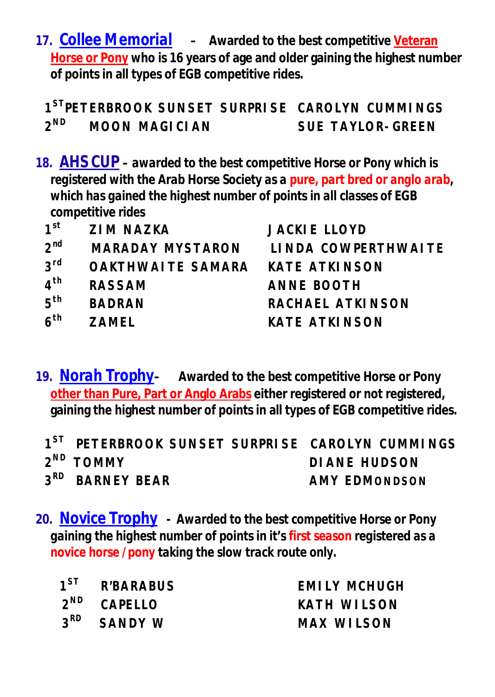*17. Collee Memorial –* **Awarded to the best competitive Veteran Horse or Pony who is 16 years of age and older gaining the highest number of points in all types of EGB competitive rides.** 

**1 STPETERBROOK SUNSET SURPRISE CAROLYN CUMMINGS**  $2^{ND}$ **ND MOON MAGICIAN SUE TAYLOR-GREEN**

*18. AHS CUP – awarded to the best competitive Horse or Pony which is registered with the Arab Horse Society as a pure, part bred or anglo arab, which has gained the highest number of points in all classes of EGB competitive rides*

| 1 <sup>st</sup> | <b>ZIM NAZKA</b>        | <b>JACKIE LLOYD</b>  |
|-----------------|-------------------------|----------------------|
| $2^{nd}$        | <b>MARADAY MYSTARON</b> | LINDA COWPERTHWAITE  |
| $3$ rd          | OAKTHWAITE SAMARA       | KATE ATKINSON        |
| 4 <sup>th</sup> | <b>RASSAM</b>           | <b>ANNE BOOTH</b>    |
| 5 <sup>th</sup> | <b>BADRAN</b>           | RACHAEL ATKINSON     |
| 6 <sup>th</sup> | <b>7AMFI</b>            | <b>KATE ATKINSON</b> |

*19. Norah Trophy–* **Awarded to the best competitive Horse or Pony other than Pure, Part or Anglo Arabs either registered or not registered, gaining the highest number of points in all types of EGB competitive rides.** 

| 1 <sup>ST</sup> PETERBROOK SUNSET SURPRISE CAROLYN CUMMINGS |               |
|-------------------------------------------------------------|---------------|
| 2 <sup>ND</sup> TOMMY                                       | DI ANE HUDSON |
| 3 <sup>RD</sup> BARNEY BEAR                                 | AMY EDMONDSON |

*20. Novice Trophy - Awarded to the best competitive Horse or Pony gaining the highest number of points in it's first season registered as a novice horse /pony taking the slow track route only.*

| 1 <sup>ST</sup> R'BARABUS | EMILY MCHUGH |
|---------------------------|--------------|
| $2^{ND}$ CAPELLO          | KATH WILSON  |
| $3RD$ SANDY W             | MAX WILSON   |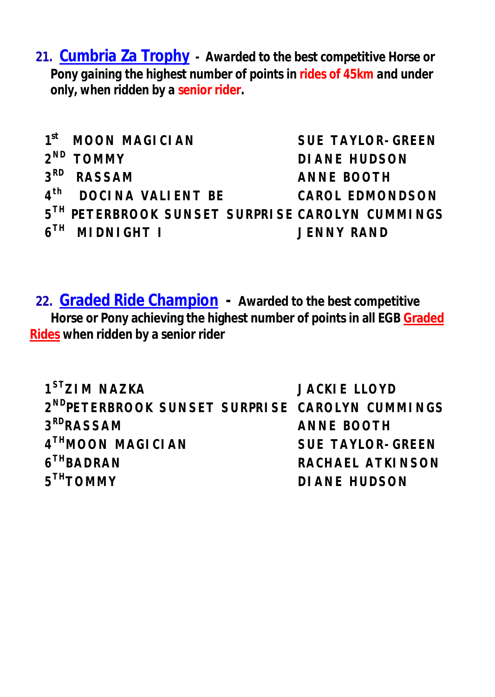*21. Cumbria Za Trophy - Awarded to the best competitive Horse or Pony gaining the highest number of points in rides of 45km and under only, when ridden by a senior rider.*

 $1<sup>st</sup>$ **st MOON MAGICIAN SUE TAYLOR-GREEN**  $2^{ND}$ **ND TOMMY DIANE HUDSON 3 RD RASSAM ANNE BOOTH**  $4<sup>th</sup>$ **th DOCINA VALIENT BE CAROL EDMONDSON 5 TH PETERBROOK SUNSET SURPRISE CAROLYN CUMMINGS**  $6^{TH}$ **THE INDIGHT I THE INSTANCE I** SENIV RAND

**22. Graded Ride Champion - Awarded to the best competitive Horse or Pony achieving the highest number of points in all EGB Graded Rides when ridden by a senior rider**

**1 STZIM NAZKA JACKIE LLOYD 2 NDPETERBROOK SUNSET SURPRISE CAROLYN CUMMINGS 3 ANNE BOOTH 4 THMOON MAGICIAN SUE TAYLOR-GREEN**   $6<sup>TH</sup>BADRAN$ **RACHAEL ATKINSON 5 THTOMMY DIANE HUDSON**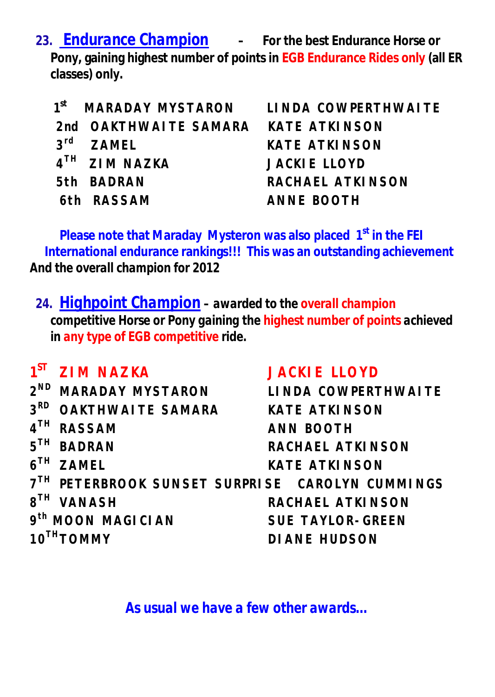*23. Endurance Champion –* **For the best Endurance Horse or Pony, gaining highest number of points in EGB Endurance Rides only (all ER classes) only.** 

| $f^t$ MARADAY MYSTARON    |
|---------------------------|
| 2nd OAKTHWAITE SAMARA     |
| $3rd$ ZAMEL               |
| 4 <sup>TH</sup> ZIM NAZKA |
| 5th BADRAN                |
| 6th RASSAM                |

*st* **MARADAY MYSTARON LINDA COWPERTHWAITE** *KATE ATKINSON KATE ATKINSON* **JACKIE LLOYD 5th BADRAN RACHAEL ATKINSON 6th RASSAM ANNE BOOTH**

**Please note that Maraday Mysteron was also placed 1 st in the FEI International endurance rankings!!! This was an outstanding achievement** *And the overall champion for 2012*

*24. Highpoint Champion – awarded to the overall champion competitive Horse or Pony gaining the highest number of points achieved in any type of EGB competitive ride.*

**1**<sup>ST</sup> **ST ZIM NAZKA JACKIE LLOYD 2 ND MARADAY MYSTARON LINDA COWPERTHWAITE 3 RD OAKTHWAITE SAMARA KATE ATKINSON 4 TH RASSAM ANN BOOTH**  $5<sup>TH</sup>$  BADRAN **RACHAEL ATKINSON**  $6^{TH}$  ZAMEL **TH ZAMEL KATE ATKINSON 7 TH PETERBROOK SUNSET SURPRISE CAROLYN CUMMINGS**  $8^{TH}$  VANASH **TH VANASH RACHAEL ATKINSON 9 th MOON MAGICIAN SUE TAYLOR-GREEN 10THTOMMY DIANE HUDSON**

*As usual we have a few other awards…*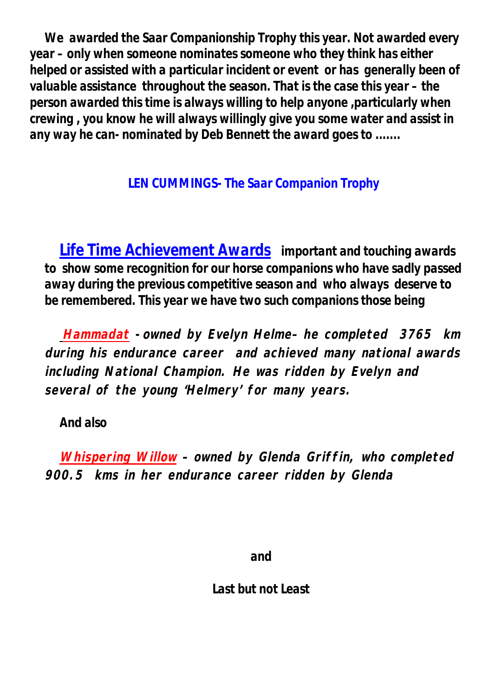*We awarded the Saar Companionship Trophy this year. Not awarded every year – only when someone nominates someone who they think has either helped or assisted with a particular incident or event or has generally been of valuable assistance throughout the season. That is the case this year – the person awarded this time is always willing to help anyone ,particularly when crewing , you know he will always willingly give you some water and assist in any way he can- nominated by Deb Bennett the award goes to .......*

## *LEN CUMMINGS- The Saar Companion Trophy*

*Life Time Achievement Awards important and touching awards to show some recognition for our horse companions who have sadly passed away during the previous competitive season and who always deserve to be remembered. This year we have two such companions those being*

*Hammadat - owned by Evelyn Helme– he completed 3765 km during his endurance career and achieved many national awards including National Champion. He was ridden by Evelyn and several of the young 'Helmery' for many years.*

*And also*

*Whispering Willow – owned by Glenda Griffin, who completed 900.5 kms in her endurance career ridden by Glenda*

*and*

*Last but not Least*